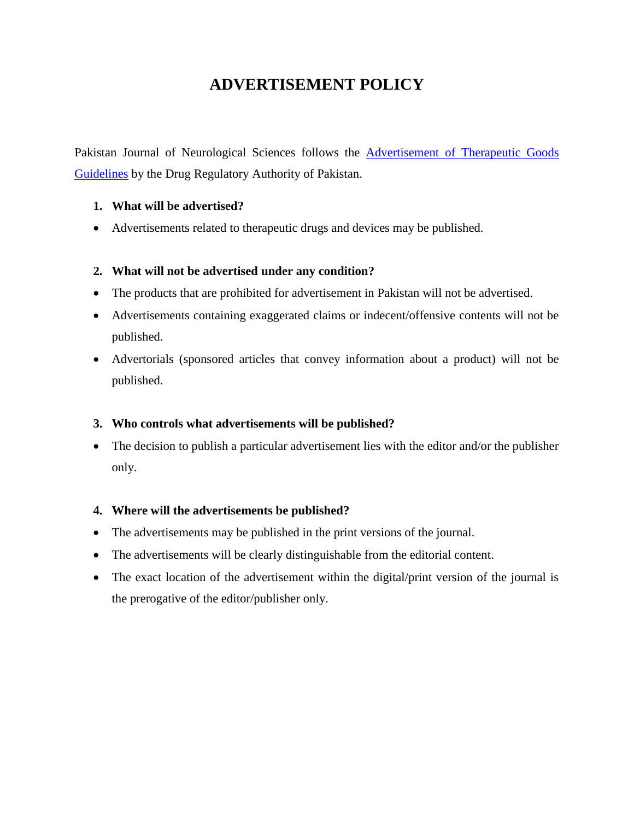# **ADVERTISEMENT POLICY**

Pakistan Journal of Neurological Sciences follows the Advertisement of Therapeutic Goods [Guidelines](https://www.dra.gov.pk/wp-content/uploads/2022/02/ADVERTISEMENT-OF-THERAPEUTIC-GOODS-.pdf) by the Drug Regulatory Authority of Pakistan.

### **1. What will be advertised?**

Advertisements related to therapeutic drugs and devices may be published.

### **2. What will not be advertised under any condition?**

- The products that are prohibited for advertisement in Pakistan will not be advertised.
- Advertisements containing exaggerated claims or indecent/offensive contents will not be published.
- Advertorials (sponsored articles that convey information about a product) will not be published.

#### **3. Who controls what advertisements will be published?**

• The decision to publish a particular advertisement lies with the editor and/or the publisher only.

#### **4. Where will the advertisements be published?**

- The advertisements may be published in the print versions of the journal.
- The advertisements will be clearly distinguishable from the editorial content.
- The exact location of the advertisement within the digital/print version of the journal is the prerogative of the editor/publisher only.